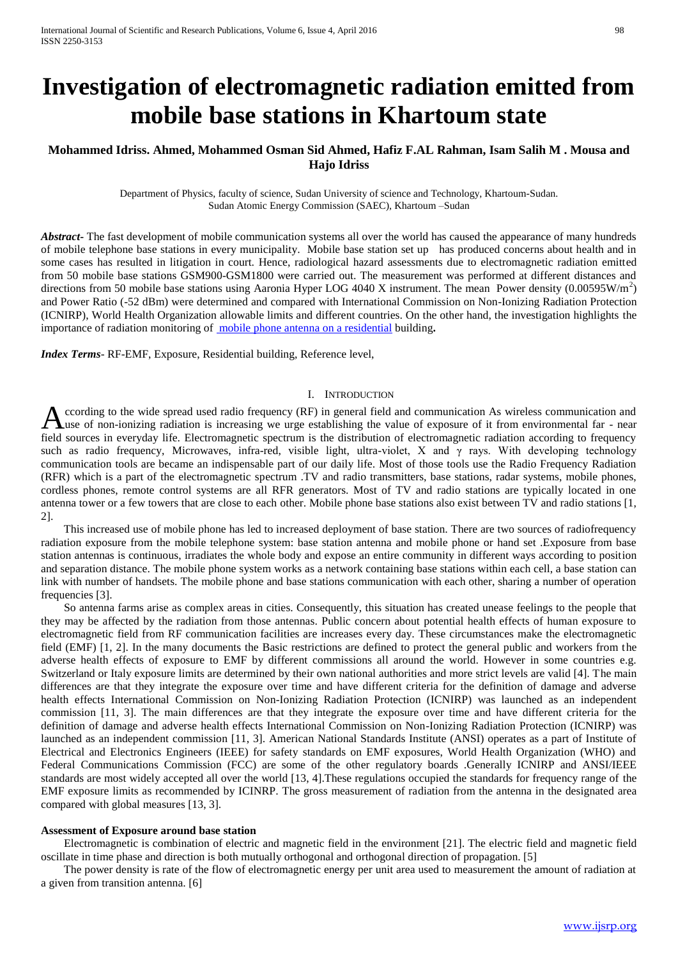# **Investigation of electromagnetic radiation emitted from mobile base stations in Khartoum state**

## **Mohammed Idriss. Ahmed, Mohammed Osman Sid Ahmed, Hafiz F.AL Rahman, Isam Salih M . Mousa and Hajo Idriss**

Department of Physics, faculty of science, Sudan University of science and Technology, Khartoum-Sudan. Sudan Atomic Energy Commission (SAEC), Khartoum –Sudan

*Abstract***-** The fast development of mobile communication systems all over the world has caused the appearance of many hundreds of mobile telephone base stations in every municipality. Mobile base station set up has produced concerns about health and in some cases has resulted in litigation in court. Hence, radiological hazard assessments due to electromagnetic radiation emitted from 50 mobile base stations GSM900-GSM1800 were carried out. The measurement was performed at different distances and directions from 50 mobile base stations using Aaronia Hyper LOG 4040 X instrument. The mean Power density  $(0.00595W/m<sup>2</sup>)$ and Power Ratio (-52 dBm) were determined and compared with International Commission on Non-Ionizing Radiation Protection (ICNIRP), World Health Organization allowable limits and different countries. On the other hand, the investigation highlights the importance of radiation monitoring of [mobile phone antenna on a residential](http://doctor.ndtv.com/faq/ndtv/fid/5318/Is_it_safe_to_install_a_mobile_phone_antenna_on_a_residential_building.html) building**.**

*Index Terms*- RF-EMF, Exposure, Residential building, Reference level,

## I. INTRODUCTION

ccording to the wide spread used radio frequency (RF) in general field and communication As wireless communication and According to the wide spread used radio frequency (RF) in general field and communication As wireless communication and use of non-ionizing radiation is increasing we urge establishing the value of exposure of it from envi field sources in everyday life. Electromagnetic spectrum is the distribution of electromagnetic radiation according to frequency such as radio frequency, Microwaves, infra-red, visible light, ultra-violet, X and  $\gamma$  rays. With developing technology communication tools are became an indispensable part of our daily life. Most of those tools use the Radio Frequency Radiation (RFR) which is a part of the electromagnetic spectrum .TV and radio transmitters, base stations, radar systems, mobile phones, cordless phones, remote control systems are all RFR generators. Most of TV and radio stations are typically located in one antenna tower or a few towers that are close to each other. Mobile phone base stations also exist between TV and radio stations [1, 2].

 This increased use of mobile phone has led to increased deployment of base station. There are two sources of radiofrequency radiation exposure from the mobile telephone system: base station antenna and mobile phone or hand set .Exposure from base station antennas is continuous, irradiates the whole body and expose an entire community in different ways according to position and separation distance. The mobile phone system works as a network containing base stations within each cell, a base station can link with number of handsets. The mobile phone and base stations communication with each other, sharing a number of operation frequencies [3].

 So antenna farms arise as complex areas in cities. Consequently, this situation has created unease feelings to the people that they may be affected by the radiation from those antennas. Public concern about potential health effects of human exposure to electromagnetic field from RF communication facilities are increases every day. These circumstances make the electromagnetic field (EMF) [1, 2]. In the many documents the Basic restrictions are defined to protect the general public and workers from the adverse health effects of exposure to EMF by different commissions all around the world. However in some countries e.g. Switzerland or Italy exposure limits are determined by their own national authorities and more strict levels are valid [4]. The main differences are that they integrate the exposure over time and have different criteria for the definition of damage and adverse health effects International Commission on Non-Ionizing Radiation Protection (ICNIRP) was launched as an independent commission [11, 3]. The main differences are that they integrate the exposure over time and have different criteria for the definition of damage and adverse health effects International Commission on Non-Ionizing Radiation Protection (ICNIRP) was launched as an independent commission [11, 3]. American National Standards Institute (ANSI) operates as a part of Institute of Electrical and Electronics Engineers (IEEE) for safety standards on EMF exposures, World Health Organization (WHO) and Federal Communications Commission (FCC) are some of the other regulatory boards .Generally ICNIRP and ANSI/IEEE standards are most widely accepted all over the world [13, 4].These regulations occupied the standards for frequency range of the EMF exposure limits as recommended by ICINRP. The gross measurement of radiation from the antenna in the designated area compared with global measures [13, 3].

#### **Assessment of Exposure around base station**

 Electromagnetic is combination of electric and magnetic field in the environment [21]. The electric field and magnetic field oscillate in time phase and direction is both mutually orthogonal and orthogonal direction of propagation. [5]

 The power density is rate of the flow of electromagnetic energy per unit area used to measurement the amount of radiation at a given from transition antenna. [6]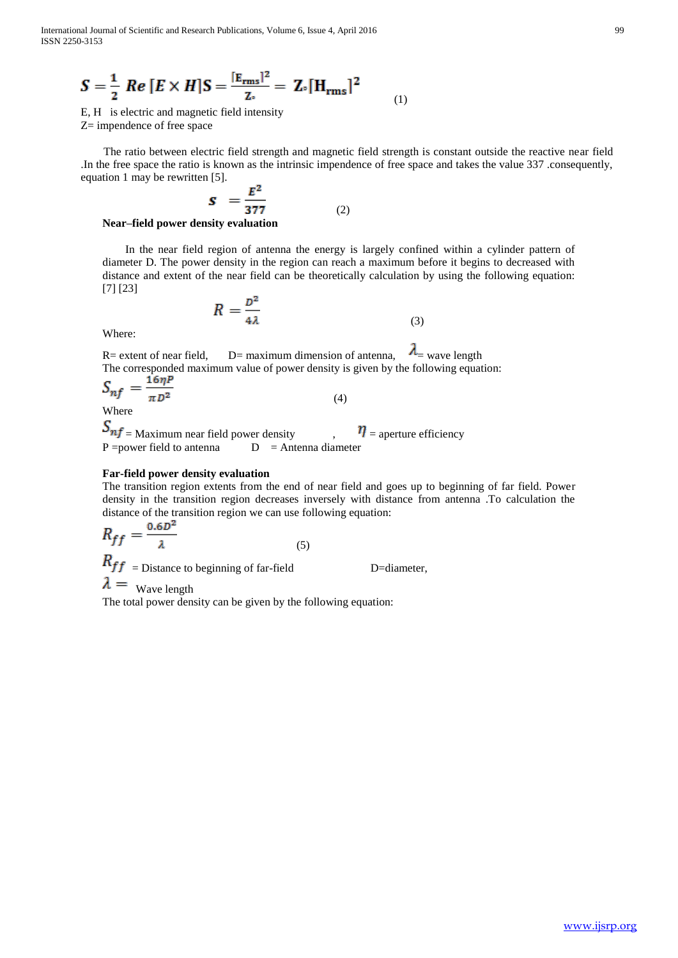$$
S = \frac{1}{2} Re [E \times H] S = \frac{[E_{\text{rms}}]^2}{Z_{\circ}} = Z_{\circ} [H_{\text{rms}}]^2
$$

E, H is electric and magnetic field intensity Z= impendence of free space

 The ratio between electric field strength and magnetic field strength is constant outside the reactive near field .In the free space the ratio is known as the intrinsic impendence of free space and takes the value 337 .consequently, equation 1 may be rewritten [5].

(1)

$$
\mathbf{S} = \frac{E^2}{377} \tag{2}
$$

**Near–field power density evaluation**

 In the near field region of antenna the energy is largely confined within a cylinder pattern of diameter D. The power density in the region can reach a maximum before it begins to decreased with distance and extent of the near field can be theoretically calculation by using the following equation: [7] [23]

$$
R = \frac{D^2}{4\lambda} \tag{3}
$$

Where:

R= extent of near field, D= maximum dimension of antenna,  $\lambda$  = wave length The corresponded maximum value of power density is given by the following equation:

$$
S_{nf} = \frac{16\eta P}{\pi D^2}
$$
 (4)

 $S_{nf}$  = Maximum near field power density  $\eta$  = aperture efficiency P = power field to antenna  $D =$  Antenna diameter

## **Far-field power density evaluation**

The transition region extents from the end of near field and goes up to beginning of far field. Power density in the transition region decreases inversely with distance from antenna .To calculation the distance of the transition region we can use following equation:

$$
R_{ff} = \frac{0.6D^2}{\lambda} \tag{5}
$$

 $R_{ff}$  = Distance to beginning of far-field D=diameter,

 $\lambda =$  Wave length

The total power density can be given by the following equation: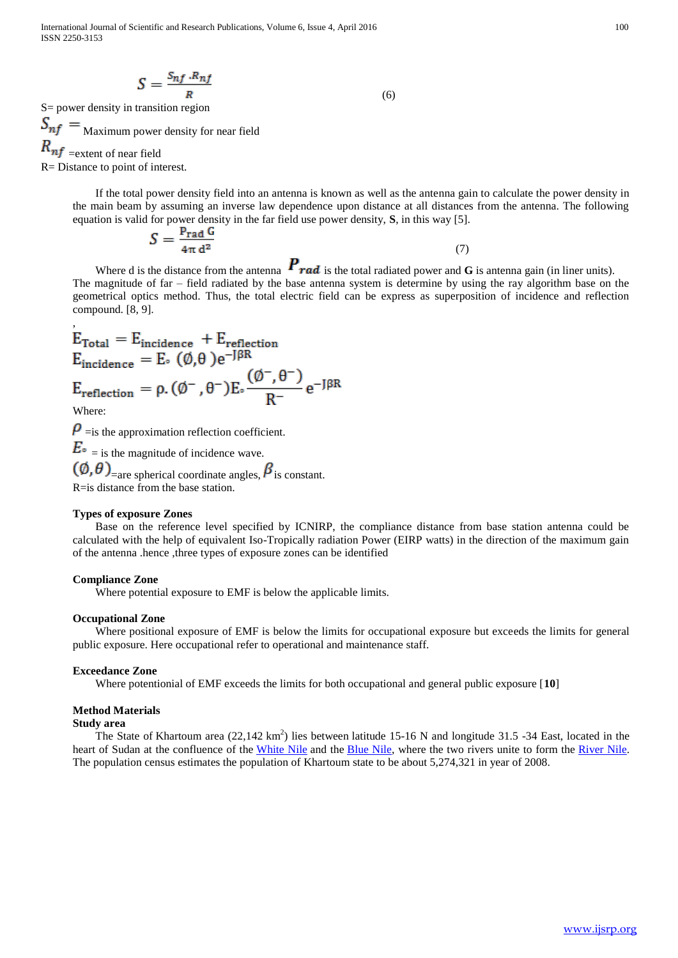International Journal of Scientific and Research Publications, Volume 6, Issue 4, April 2016 100 ISSN 2250-3153

$$
S = \frac{S_{nf} \cdot R_{nf}}{R} \tag{6}
$$

S= power density in transition region

 $S_{nf} =$  Maximum power density for near field  $R_{nf}$  =extent of near field

R= Distance to point of interest.

,

 If the total power density field into an antenna is known as well as the antenna gain to calculate the power density in the main beam by assuming an inverse law dependence upon distance at all distances from the antenna. The following equation is valid for power density in the far field use power density, **S**, in this way [5].

$$
S = \frac{P_{\text{rad}} G}{4\pi d^2} \tag{7}
$$

Where d is the distance from the antenna  $P_{rad}$  is the total radiated power and **G** is antenna gain (in liner units). The magnitude of far – field radiated by the base antenna system is determine by using the ray algorithm base on the geometrical optics method. Thus, the total electric field can be express as superposition of incidence and reflection compound. [8, 9].

$$
E_{\text{Total}} = E_{\text{incidence}} + E_{\text{reflection}}
$$
  
\n
$$
E_{\text{incidence}} = E_{\circ} (\emptyset, \theta) e^{-J\beta R}
$$
  
\n
$$
E_{\text{reflection}} = \rho. (\emptyset^{-}, \theta^{-}) E_{\circ} \frac{(\emptyset^{-}, \theta^{-})}{R^{-}} e^{-J\beta R}
$$
  
\nWhere:  
\n
$$
\rho_{\text{mis the approximation reflection coefficient}}
$$

 $\mathbf{P}$  = is the approximation reflection coefficient.

 $E_{\circ}$  = is the magnitude of incidence wave.

 $(\emptyset, \theta)$ <sub>=are spherical coordinate angles,</sub>  $\beta$  is constant. R=is distance from the base station.

## **Types of exposure Zones**

 Base on the reference level specified by ICNIRP, the compliance distance from base station antenna could be calculated with the help of equivalent Iso-Tropically radiation Power (EIRP watts) in the direction of the maximum gain of the antenna .hence ,three types of exposure zones can be identified

## **Compliance Zone**

Where potential exposure to EMF is below the applicable limits.

## **Occupational Zone**

 Where positional exposure of EMF is below the limits for occupational exposure but exceeds the limits for general public exposure. Here occupational refer to operational and maintenance staff.

#### **Exceedance Zone**

Where potentionial of EMF exceeds the limits for both occupational and general public exposure [**10**]

## **Method Materials**

### **Study area**

The State of Khartoum area  $(22,142 \text{ km}^2)$  lies between latitude 15-16 N and longitude 31.5 -34 East, located in the heart of Sudan at the confluence of the [White Nile](http://en.wikipedia.org/wiki/White_Nile) and the [Blue Nile,](http://en.wikipedia.org/wiki/Blue_Nile) where the two rivers unite to form the River Nile. The population census estimates the population of Khartoum state to be about 5,274,321 in year of 2008.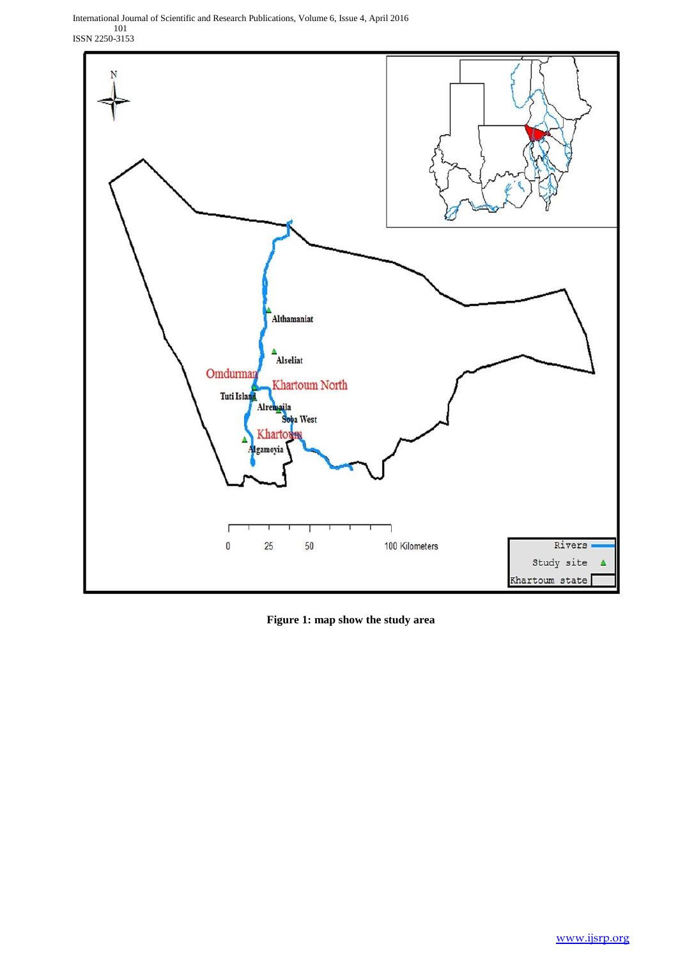International Journal of Scientific and Research Publications, Volume 6, Issue 4, April 2016 101 ISSN 2250-3153



**Figure 1: map show the study area**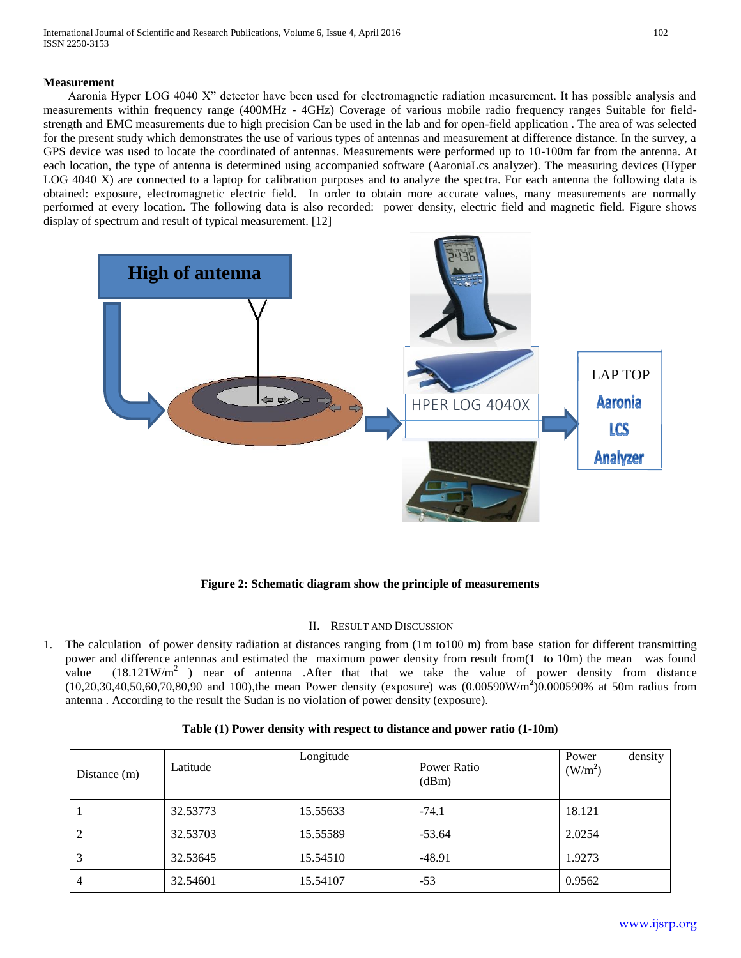## **Measurement**

 Aaronia Hyper LOG 4040 X" detector have been used for electromagnetic radiation measurement. It has possible analysis and measurements within frequency range (400MHz - 4GHz) Coverage of various mobile radio frequency ranges Suitable for fieldstrength and EMC measurements due to high precision Can be used in the lab and for open-field application . The area of was selected for the present study which demonstrates the use of various types of antennas and measurement at difference distance. In the survey, a GPS device was used to locate the coordinated of antennas. Measurements were performed up to 10-100m far from the antenna. At each location, the type of antenna is determined using accompanied software (AaroniaLcs analyzer). The measuring devices (Hyper LOG 4040 X) are connected to a laptop for calibration purposes and to analyze the spectra. For each antenna the following data is obtained: exposure, electromagnetic electric field. In order to obtain more accurate values, many measurements are normally performed at every location. The following data is also recorded: power density, electric field and magnetic field. Figure shows display of spectrum and result of typical measurement. [12]



**Figure 2: Schematic diagram show the principle of measurements**

## II. RESULT AND DISCUSSION

1. The calculation of power density radiation at distances ranging from (1m to100 m) from base station for different transmitting power and difference antennas and estimated the maximum power density from result from(1 to 10m) the mean was found value  $(18.121 \text{W/m}^2$  ) near of antenna .After that that we take the value of power density from distance (10,20,30,40,50,60,70,80,90 and 100),the mean Power density (exposure) was (0.00590W/m**<sup>2</sup>** )0.000590% at 50m radius from antenna . According to the result the Sudan is no violation of power density (exposure).

| Distance (m)   | Latitude | Longitude | Power Ratio<br>(dBm) | density<br>Power<br>(W/m <sup>2</sup> ) |
|----------------|----------|-----------|----------------------|-----------------------------------------|
|                | 32.53773 | 15.55633  | $-74.1$              | 18.121                                  |
| 2              | 32.53703 | 15.55589  | $-53.64$             | 2.0254                                  |
| 3              | 32.53645 | 15.54510  | $-48.91$             | 1.9273                                  |
| $\overline{4}$ | 32.54601 | 15.54107  | $-53$                | 0.9562                                  |

## **Table (1) Power density with respect to distance and power ratio (1-10m)**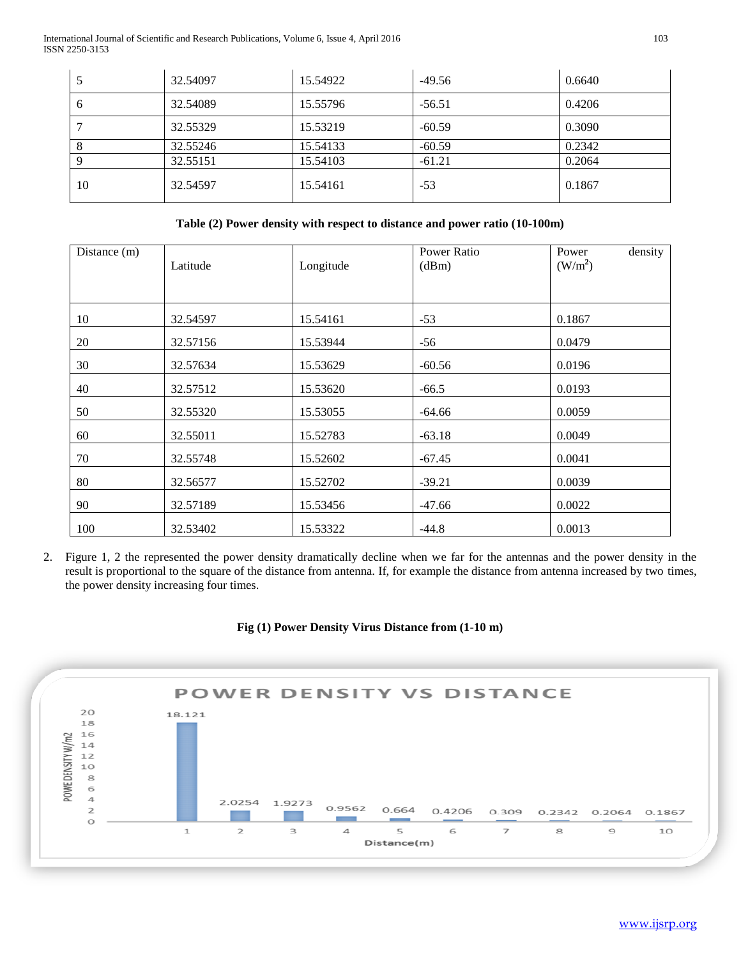International Journal of Scientific and Research Publications, Volume 6, Issue 4, April 2016 103 ISSN 2250-3153

|    | 32.54097 | 15.54922 | $-49.56$ | 0.6640 |
|----|----------|----------|----------|--------|
| O  | 32.54089 | 15.55796 | $-56.51$ | 0.4206 |
|    | 32.55329 | 15.53219 | $-60.59$ | 0.3090 |
| 8  | 32.55246 | 15.54133 | $-60.59$ | 0.2342 |
|    | 32.55151 | 15.54103 | $-61.21$ | 0.2064 |
| 10 | 32.54597 | 15.54161 | $-53$    | 0.1867 |

## **Table (2) Power density with respect to distance and power ratio (10-100m)**

| Distance $(m)$ | Latitude | Longitude | Power Ratio<br>(dBm) | density<br>Power<br>(W/m <sup>2</sup> ) |
|----------------|----------|-----------|----------------------|-----------------------------------------|
| 10             | 32.54597 | 15.54161  | $-53$                | 0.1867                                  |
| 20             | 32.57156 | 15.53944  | $-56$                | 0.0479                                  |
| 30             | 32.57634 | 15.53629  | $-60.56$             | 0.0196                                  |
| 40             | 32.57512 | 15.53620  | $-66.5$              | 0.0193                                  |
| 50             | 32.55320 | 15.53055  | $-64.66$             | 0.0059                                  |
| 60             | 32.55011 | 15.52783  | $-63.18$             | 0.0049                                  |
| 70             | 32.55748 | 15.52602  | $-67.45$             | 0.0041                                  |
| 80             | 32.56577 | 15.52702  | $-39.21$             | 0.0039                                  |
| 90             | 32.57189 | 15.53456  | $-47.66$             | 0.0022                                  |
| 100            | 32.53402 | 15.53322  | $-44.8$              | 0.0013                                  |

2. Figure 1, 2 the represented the power density dramatically decline when we far for the antennas and the power density in the result is proportional to the square of the distance from antenna. If, for example the distance from antenna increased by two times, the power density increasing four times.

## **Fig (1) Power Density Virus Distance from (1-10 m)**

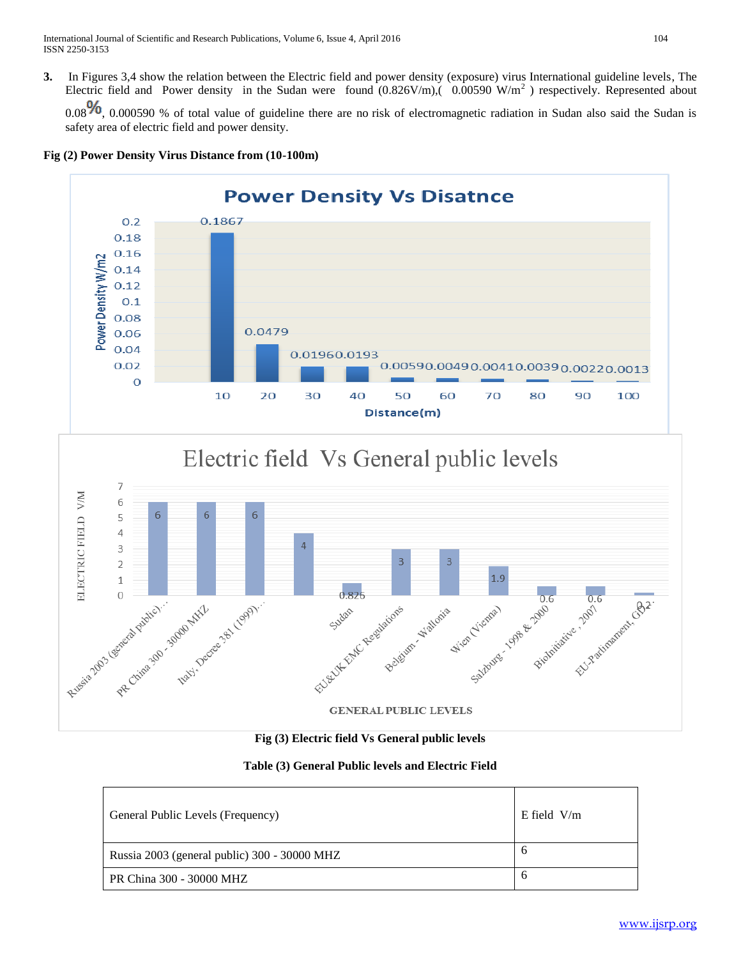**3.** In Figures 3,4 show the relation between the Electric field and power density (exposure) virus International guideline levels, The Electric field and Power density in the Sudan were found  $(0.826 \text{V/m})$ ,  $(0.00590 \text{ W/m}^2)$  respectively. Represented about

 $0.08\%$ , 0.000590 % of total value of guideline there are no risk of electromagnetic radiation in Sudan also said the Sudan is safety area of electric field and power density.





## Electric field Vs General public levels



**Fig (3) Electric field Vs General public levels**

## **Table (3) General Public levels and Electric Field**

| General Public Levels (Frequency)            | $E$ field $V/m$ |
|----------------------------------------------|-----------------|
| Russia 2003 (general public) 300 - 30000 MHZ | O               |
| PR China 300 - 30000 MHZ                     | O               |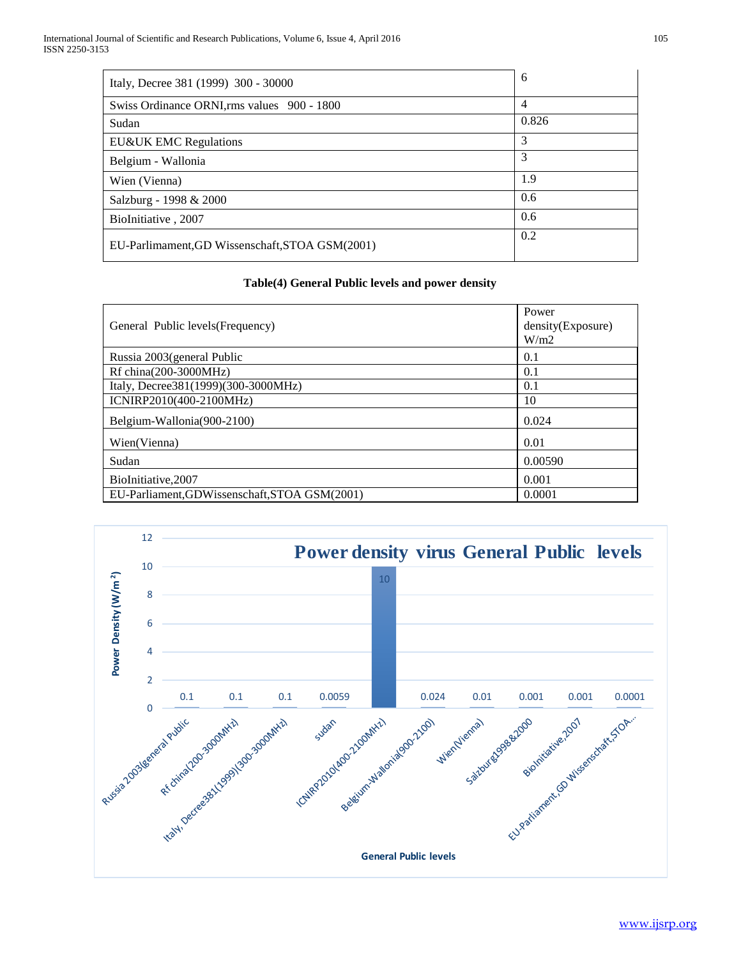| Italy, Decree 381 (1999) 300 - 30000            | 6              |
|-------------------------------------------------|----------------|
| Swiss Ordinance ORNI, rms values 900 - 1800     | $\overline{4}$ |
| Sudan                                           | 0.826          |
| EU&UK EMC Regulations                           | 3              |
| Belgium - Wallonia                              | 3              |
| Wien (Vienna)                                   | 1.9            |
| Salzburg - 1998 & 2000                          | 0.6            |
| BioInitiative, 2007                             | 0.6            |
| EU-Parlimament, GD Wissenschaft, STOA GSM(2001) | 0.2            |

## **Table(4) General Public levels and power density**

| General Public levels (Frequency)             | Power<br>density(Exposure)<br>W/m2 |
|-----------------------------------------------|------------------------------------|
| Russia 2003 (general Public                   | 0.1                                |
| Rf china(200-3000MHz)                         | 0.1                                |
| Italy, Decree381(1999)(300-3000MHz)           | 0.1                                |
| ICNIRP2010(400-2100MHz)                       | 10                                 |
| Belgium-Wallonia(900-2100)                    | 0.024                              |
| Wien(Vienna)                                  | 0.01                               |
| Sudan                                         | 0.00590                            |
| BioInitiative,2007                            | 0.001                              |
| EU-Parliament, GDWissenschaft, STOA GSM(2001) | 0.0001                             |

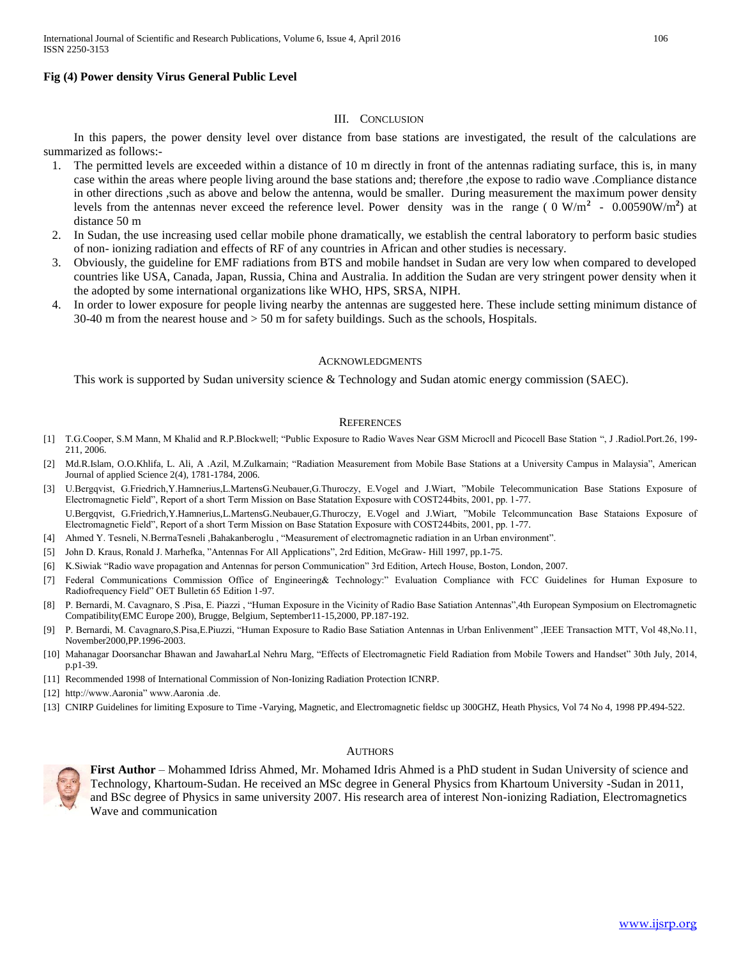## **Fig (4) Power density Virus General Public Level**

## III. CONCLUSION

 In this papers, the power density level over distance from base stations are investigated, the result of the calculations are summarized as follows:-

- 1. The permitted levels are exceeded within a distance of 10 m directly in front of the antennas radiating surface, this is, in many case within the areas where people living around the base stations and; therefore ,the expose to radio wave .Compliance distance in other directions ,such as above and below the antenna, would be smaller. During measurement the maximum power density levels from the antennas never exceed the reference level. Power density was in the range ( $0 \text{ W/m}^2$  -  $0.00590 \text{W/m}^2$ ) at distance 50 m
- 2. In Sudan, the use increasing used cellar mobile phone dramatically, we establish the central laboratory to perform basic studies of non- ionizing radiation and effects of RF of any countries in African and other studies is necessary.
- 3. Obviously, the guideline for EMF radiations from BTS and mobile handset in Sudan are very low when compared to developed countries like USA, Canada, Japan, Russia, China and Australia. In addition the Sudan are very stringent power density when it the adopted by some international organizations like WHO, HPS, SRSA, NIPH.
- 4. In order to lower exposure for people living nearby the antennas are suggested here. These include setting minimum distance of 30-40 m from the nearest house and > 50 m for safety buildings. Such as the schools, Hospitals.

### **ACKNOWLEDGMENTS**

This work is supported by Sudan university science & Technology and Sudan atomic energy commission (SAEC).

#### **REFERENCES**

- [1] T.G.Cooper, S.M Mann, M Khalid and R.P.Blockwell; "Public Exposure to Radio Waves Near GSM Microcll and Picocell Base Station ", J .Radiol.Port.26, 199- 211, 2006.
- [2] Md.R.Islam, O.O.Khlifa, L. Ali, A .Azil, M.Zulkarnain; "Radiation Measurement from Mobile Base Stations at a University Campus in Malaysia", American Journal of applied Science 2(4), 1781-1784, 2006.
- [3] U.Bergqvist, G.Friedrich,Y.Hamnerius,L.MartensG.Neubauer,G.Thuroczy, E.Vogel and J.Wiart, "Mobile Telecommunication Base Stations Exposure of Electromagnetic Field", Report of a short Term Mission on Base Statation Exposure with COST244bits, 2001, pp. 1-77. U.Bergqvist, G.Friedrich,Y.Hamnerius,L.MartensG.Neubauer,G.Thuroczy, E.Vogel and J.Wiart, "Mobile Telcommuncation Base Stataions Exposure of Electromagnetic Field", Report of a short Term Mission on Base Statation Exposure with COST244bits, 2001, pp. 1-77.
- [4] Ahmed Y. Tesneli, N.BerrnaTesneli ,Bahakanberoglu , "Measurement of electromagnetic radiation in an Urban environment".
- [5] John D. Kraus, Ronald J. Marhefka, "Antennas For All Applications", 2rd Edition, McGraw- Hill 1997, pp.1-75.
- [6] K.Siwiak "Radio wave propagation and Antennas for person Communication" 3rd Edition, Artech House, Boston, London, 2007.
- [7] Federal Communications Commission Office of Engineering& Technology:" Evaluation Compliance with FCC Guidelines for Human Exposure to Radiofrequency Field" OET Bulletin 65 Edition 1-97.
- [8] P. Bernardi, M. Cavagnaro, S .Pisa, E. Piazzi , "Human Exposure in the Vicinity of Radio Base Satiation Antennas",4th European Symposium on Electromagnetic Compatibility(EMC Europe 200), Brugge, Belgium, September11-15,2000, PP.187-192.
- [9] P. Bernardi, M. Cavagnaro,S.Pisa,E.Piuzzi, "Human Exposure to Radio Base Satiation Antennas in Urban Enlivenment" ,IEEE Transaction MTT, Vol 48,No.11, November2000,PP.1996-2003.
- [10] Mahanagar Doorsanchar Bhawan and JawaharLal Nehru Marg, "Effects of Electromagnetic Field Radiation from Mobile Towers and Handset" 30th July, 2014, p.p1-39.
- [11] Recommended 1998 of International Commission of Non-Ionizing Radiation Protection ICNRP.
- [12] http://www.Aaronia" www.Aaronia .de.
- [13] CNIRP Guidelines for limiting Exposure to Time -Varying, Magnetic, and Electromagnetic fieldsc up 300GHZ, Heath Physics, Vol 74 No 4, 1998 PP.494-522.

### **AUTHORS**



**First Author** – Mohammed Idriss Ahmed, Mr. Mohamed Idris Ahmed is a PhD student in Sudan University of science and Technology, Khartoum-Sudan. He received an MSc degree in General Physics from Khartoum University -Sudan in 2011, and BSc degree of Physics in same university 2007. His research area of interest Non-ionizing Radiation, Electromagnetics Wave and communication